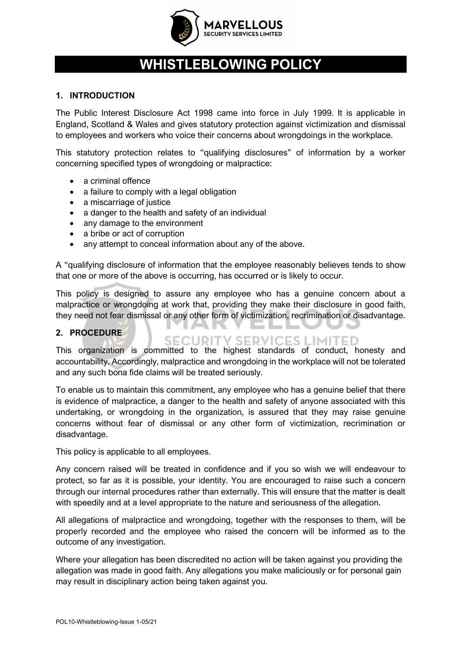

# **WHISTLEBLOWING POLICY**

### **1. INTRODUCTION**

The Public Interest Disclosure Act 1998 came into force in July 1999. It is applicable in England, Scotland & Wales and gives statutory protection against victimization and dismissal to employees and workers who voice their concerns about wrongdoings in the workplace.

This statutory protection relates to "qualifying disclosures" of information by a worker concerning specified types of wrongdoing or malpractice:

- a criminal offence
- a failure to comply with a legal obligation
- a miscarriage of justice
- a danger to the health and safety of an individual
- any damage to the environment
- a bribe or act of corruption
- any attempt to conceal information about any of the above.

A "qualifying disclosure of information that the employee reasonably believes tends to show that one or more of the above is occurring, has occurred or is likely to occur.

This policy is designed to assure any employee who has a genuine concern about a malpractice or wrongdoing at work that, providing they make their disclosure in good faith, they need not fear dismissal or any other form of victimization, recrimination or disadvantage.

#### **2. PROCEDURE**

## **SECURITY SERVICES LIMITED**

This organization is committed to the highest standards of conduct, honesty and accountability. Accordingly, malpractice and wrongdoing in the workplace will not be tolerated and any such bona fide claims will be treated seriously.

To enable us to maintain this commitment, any employee who has a genuine belief that there is evidence of malpractice, a danger to the health and safety of anyone associated with this undertaking, or wrongdoing in the organization, is assured that they may raise genuine concerns without fear of dismissal or any other form of victimization, recrimination or disadvantage.

This policy is applicable to all employees.

Any concern raised will be treated in confidence and if you so wish we will endeavour to protect, so far as it is possible, your identity. You are encouraged to raise such a concern through our internal procedures rather than externally. This will ensure that the matter is dealt with speedily and at a level appropriate to the nature and seriousness of the allegation.

All allegations of malpractice and wrongdoing, together with the responses to them, will be properly recorded and the employee who raised the concern will be informed as to the outcome of any investigation.

Where your allegation has been discredited no action will be taken against you providing the allegation was made in good faith. Any allegations you make maliciously or for personal gain may result in disciplinary action being taken against you.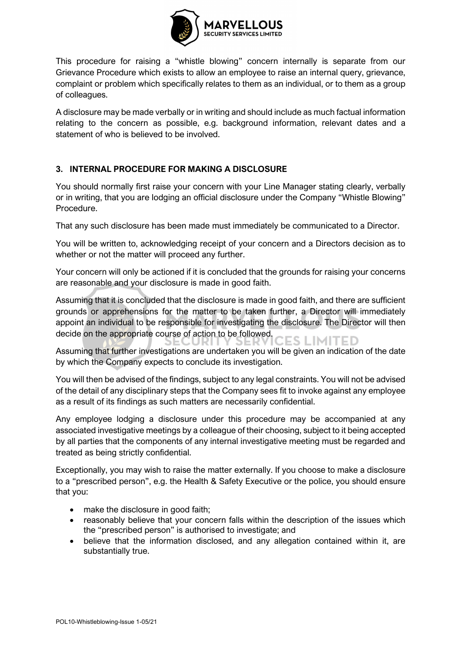

This procedure for raising a "whistle blowing" concern internally is separate from our Grievance Procedure which exists to allow an employee to raise an internal query, grievance, complaint or problem which specifically relates to them as an individual, or to them as a group of colleagues.

A disclosure may be made verbally or in writing and should include as much factual information relating to the concern as possible, e.g. background information, relevant dates and a statement of who is believed to be involved.

### **3. INTERNAL PROCEDURE FOR MAKING A DISCLOSURE**

You should normally first raise your concern with your Line Manager stating clearly, verbally or in writing, that you are lodging an official disclosure under the Company "Whistle Blowing" Procedure.

That any such disclosure has been made must immediately be communicated to a Director.

You will be written to, acknowledging receipt of your concern and a Directors decision as to whether or not the matter will proceed any further.

Your concern will only be actioned if it is concluded that the grounds for raising your concerns are reasonable and your disclosure is made in good faith.

Assuming that it is concluded that the disclosure is made in good faith, and there are sufficient grounds or apprehensions for the matter to be taken further, a Director will immediately appoint an individual to be responsible for investigating the disclosure. The Director will then decide on the appropriate course of action to be followed. IES LIMITED

Assuming that further investigations are undertaken you will be given an indication of the date by which the Company expects to conclude its investigation.

You will then be advised of the findings, subject to any legal constraints. You will not be advised of the detail of any disciplinary steps that the Company sees fit to invoke against any employee as a result of its findings as such matters are necessarily confidential.

Any employee lodging a disclosure under this procedure may be accompanied at any associated investigative meetings by a colleague of their choosing, subject to it being accepted by all parties that the components of any internal investigative meeting must be regarded and treated as being strictly confidential.

Exceptionally, you may wish to raise the matter externally. If you choose to make a disclosure to a "prescribed person", e.g. the Health & Safety Executive or the police, you should ensure that you:

- make the disclosure in good faith;
- reasonably believe that your concern falls within the description of the issues which the "prescribed person" is authorised to investigate; and
- believe that the information disclosed, and any allegation contained within it, are substantially true.